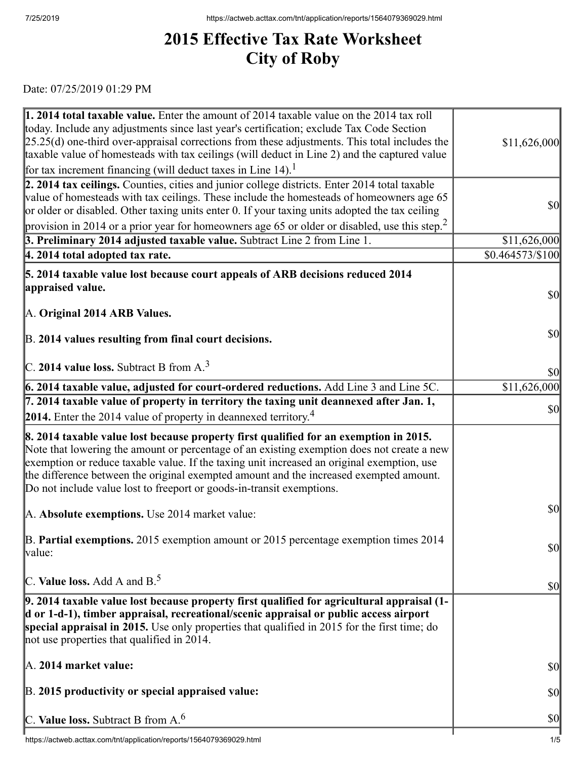## **2015 Effective Tax Rate Worksheet City of Roby**

Date: 07/25/2019 01:29 PM

| 1. 2014 total taxable value. Enter the amount of 2014 taxable value on the 2014 tax roll<br>today. Include any adjustments since last year's certification; exclude Tax Code Section<br>$[25.25(d)$ one-third over-appraisal corrections from these adjustments. This total includes the<br>taxable value of homesteads with tax ceilings (will deduct in Line 2) and the captured value                                                             | \$11,626,000     |
|------------------------------------------------------------------------------------------------------------------------------------------------------------------------------------------------------------------------------------------------------------------------------------------------------------------------------------------------------------------------------------------------------------------------------------------------------|------------------|
| for tax increment financing (will deduct taxes in Line 14). <sup>1</sup>                                                                                                                                                                                                                                                                                                                                                                             |                  |
| 2. 2014 tax ceilings. Counties, cities and junior college districts. Enter 2014 total taxable<br>value of homesteads with tax ceilings. These include the homesteads of homeowners age 65<br>or older or disabled. Other taxing units enter 0. If your taxing units adopted the tax ceiling                                                                                                                                                          | \$0              |
| provision in 2014 or a prior year for homeowners age 65 or older or disabled, use this step. <sup>2</sup>                                                                                                                                                                                                                                                                                                                                            |                  |
| 3. Preliminary 2014 adjusted taxable value. Subtract Line 2 from Line 1.                                                                                                                                                                                                                                                                                                                                                                             | \$11,626,000     |
| $ 4.2014$ total adopted tax rate.                                                                                                                                                                                                                                                                                                                                                                                                                    | \$0.464573/\$100 |
| 5. 2014 taxable value lost because court appeals of ARB decisions reduced 2014                                                                                                                                                                                                                                                                                                                                                                       |                  |
| appraised value.                                                                                                                                                                                                                                                                                                                                                                                                                                     | \$0              |
| A. Original 2014 ARB Values.                                                                                                                                                                                                                                                                                                                                                                                                                         |                  |
|                                                                                                                                                                                                                                                                                                                                                                                                                                                      |                  |
| B. 2014 values resulting from final court decisions.                                                                                                                                                                                                                                                                                                                                                                                                 | \$0              |
|                                                                                                                                                                                                                                                                                                                                                                                                                                                      |                  |
| $\vert$ C. 2014 value loss. Subtract B from A. <sup>3</sup>                                                                                                                                                                                                                                                                                                                                                                                          | \$0              |
| 6. 2014 taxable value, adjusted for court-ordered reductions. Add Line 3 and Line 5C.                                                                                                                                                                                                                                                                                                                                                                | \$11,626,000     |
| 7. 2014 taxable value of property in territory the taxing unit deannexed after Jan. 1,                                                                                                                                                                                                                                                                                                                                                               | \$0              |
| 2014. Enter the 2014 value of property in deannexed territory. <sup>4</sup>                                                                                                                                                                                                                                                                                                                                                                          |                  |
| 8. 2014 taxable value lost because property first qualified for an exemption in 2015.<br>Note that lowering the amount or percentage of an existing exemption does not create a new<br>exemption or reduce taxable value. If the taxing unit increased an original exemption, use<br>the difference between the original exempted amount and the increased exempted amount.<br>Do not include value lost to freeport or goods-in-transit exemptions. |                  |
| A. Absolute exemptions. Use 2014 market value:                                                                                                                                                                                                                                                                                                                                                                                                       | \$0              |
| B. Partial exemptions. 2015 exemption amount or 2015 percentage exemption times 2014<br>value:                                                                                                                                                                                                                                                                                                                                                       | \$0              |
| C. Value loss. Add A and $B^5$ .                                                                                                                                                                                                                                                                                                                                                                                                                     | \$0              |
| $\vert$ 9. 2014 taxable value lost because property first qualified for agricultural appraisal (1-<br>d or 1-d-1), timber appraisal, recreational/scenic appraisal or public access airport<br>special appraisal in 2015. Use only properties that qualified in 2015 for the first time; do<br>not use properties that qualified in 2014.                                                                                                            |                  |
| A. 2014 market value:                                                                                                                                                                                                                                                                                                                                                                                                                                | \$0              |
| B. 2015 productivity or special appraised value:                                                                                                                                                                                                                                                                                                                                                                                                     | \$0              |
| C. Value loss. Subtract B from $A6$                                                                                                                                                                                                                                                                                                                                                                                                                  | \$0              |
|                                                                                                                                                                                                                                                                                                                                                                                                                                                      |                  |

 $\overline{\phantom{a}}$ https://actweb.acttax.com/tnt/application/reports/1564079369029.html 1/5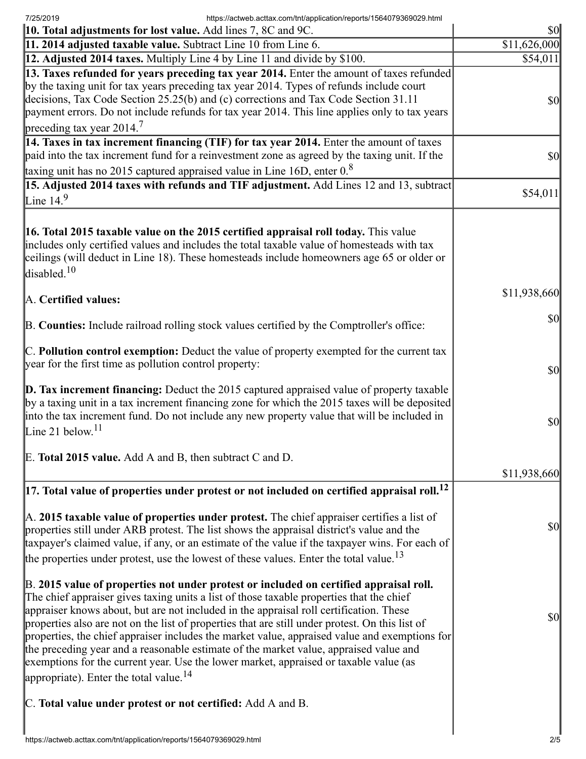7/25/2019 https://actweb.acttax.com/tnt/application/reports/1564079369029.html

| 10. Total adjustments for lost value. Add lines 7, 8C and 9C.                                                                                                                                                                                                                                                                                                                                                                                                                                                                                                                                                                                                                                                            | $\frac{1}{2}$                       |
|--------------------------------------------------------------------------------------------------------------------------------------------------------------------------------------------------------------------------------------------------------------------------------------------------------------------------------------------------------------------------------------------------------------------------------------------------------------------------------------------------------------------------------------------------------------------------------------------------------------------------------------------------------------------------------------------------------------------------|-------------------------------------|
| 11. 2014 adjusted taxable value. Subtract Line 10 from Line 6.                                                                                                                                                                                                                                                                                                                                                                                                                                                                                                                                                                                                                                                           | \$11,626,000                        |
| 12. Adjusted 2014 taxes. Multiply Line 4 by Line 11 and divide by \$100.                                                                                                                                                                                                                                                                                                                                                                                                                                                                                                                                                                                                                                                 | \$54,011                            |
| [13. Taxes refunded for years preceding tax year 2014. Enter the amount of taxes refunded<br>by the taxing unit for tax years preceding tax year 2014. Types of refunds include court<br>decisions, Tax Code Section 25.25(b) and (c) corrections and Tax Code Section 31.11<br>payment errors. Do not include refunds for tax year 2014. This line applies only to tax years                                                                                                                                                                                                                                                                                                                                            | $\vert \mathbf{S} \mathbf{0} \vert$ |
| preceding tax year $2014.7$<br>$\vert$ 14. Taxes in tax increment financing (TIF) for tax year 2014. Enter the amount of taxes                                                                                                                                                                                                                                                                                                                                                                                                                                                                                                                                                                                           |                                     |
| paid into the tax increment fund for a reinvestment zone as agreed by the taxing unit. If the                                                                                                                                                                                                                                                                                                                                                                                                                                                                                                                                                                                                                            | $ 10\rangle$                        |
| taxing unit has no 2015 captured appraised value in Line 16D, enter $0.8$<br>15. Adjusted 2014 taxes with refunds and TIF adjustment. Add Lines 12 and 13, subtract                                                                                                                                                                                                                                                                                                                                                                                                                                                                                                                                                      |                                     |
| Line $14.9$                                                                                                                                                                                                                                                                                                                                                                                                                                                                                                                                                                                                                                                                                                              | \$54,011                            |
| <b>16. Total 2015 taxable value on the 2015 certified appraisal roll today.</b> This value<br>includes only certified values and includes the total taxable value of homesteads with tax<br>ceilings (will deduct in Line 18). These homesteads include homeowners age 65 or older or<br>disabled. $10$                                                                                                                                                                                                                                                                                                                                                                                                                  |                                     |
| A. Certified values:                                                                                                                                                                                                                                                                                                                                                                                                                                                                                                                                                                                                                                                                                                     | \$11,938,660                        |
| B. Counties: Include railroad rolling stock values certified by the Comptroller's office:                                                                                                                                                                                                                                                                                                                                                                                                                                                                                                                                                                                                                                | $\vert \mathbf{S} \mathbf{0} \vert$ |
| C. Pollution control exemption: Deduct the value of property exempted for the current tax<br>year for the first time as pollution control property:                                                                                                                                                                                                                                                                                                                                                                                                                                                                                                                                                                      | $\frac{1}{2}$                       |
| $\vert$ D. Tax increment financing: Deduct the 2015 captured appraised value of property taxable<br>by a taxing unit in a tax increment financing zone for which the 2015 taxes will be deposited<br>into the tax increment fund. Do not include any new property value that will be included in<br>Line 21 below. <sup>11</sup>                                                                                                                                                                                                                                                                                                                                                                                         | $\vert \$\text{O}\vert$             |
| E. Total 2015 value. Add A and B, then subtract C and D.                                                                                                                                                                                                                                                                                                                                                                                                                                                                                                                                                                                                                                                                 |                                     |
|                                                                                                                                                                                                                                                                                                                                                                                                                                                                                                                                                                                                                                                                                                                          | \$11,938,660                        |
| $\vert$ 17. Total value of properties under protest or not included on certified appraisal roll. <sup>12</sup>                                                                                                                                                                                                                                                                                                                                                                                                                                                                                                                                                                                                           |                                     |
| $\mathbb A$ . 2015 taxable value of properties under protest. The chief appraiser certifies a list of<br>properties still under ARB protest. The list shows the appraisal district's value and the<br>taxpayer's claimed value, if any, or an estimate of the value if the taxpayer wins. For each of<br>the properties under protest, use the lowest of these values. Enter the total value. <sup>13</sup>                                                                                                                                                                                                                                                                                                              | \$0                                 |
| B. 2015 value of properties not under protest or included on certified appraisal roll.<br>The chief appraiser gives taxing units a list of those taxable properties that the chief<br>appraiser knows about, but are not included in the appraisal roll certification. These<br>properties also are not on the list of properties that are still under protest. On this list of<br>properties, the chief appraiser includes the market value, appraised value and exemptions for<br>the preceding year and a reasonable estimate of the market value, appraised value and<br>exemptions for the current year. Use the lower market, appraised or taxable value (as<br>appropriate). Enter the total value. <sup>14</sup> | $ 10\rangle$                        |
| C. Total value under protest or not certified: Add A and B.                                                                                                                                                                                                                                                                                                                                                                                                                                                                                                                                                                                                                                                              |                                     |
|                                                                                                                                                                                                                                                                                                                                                                                                                                                                                                                                                                                                                                                                                                                          |                                     |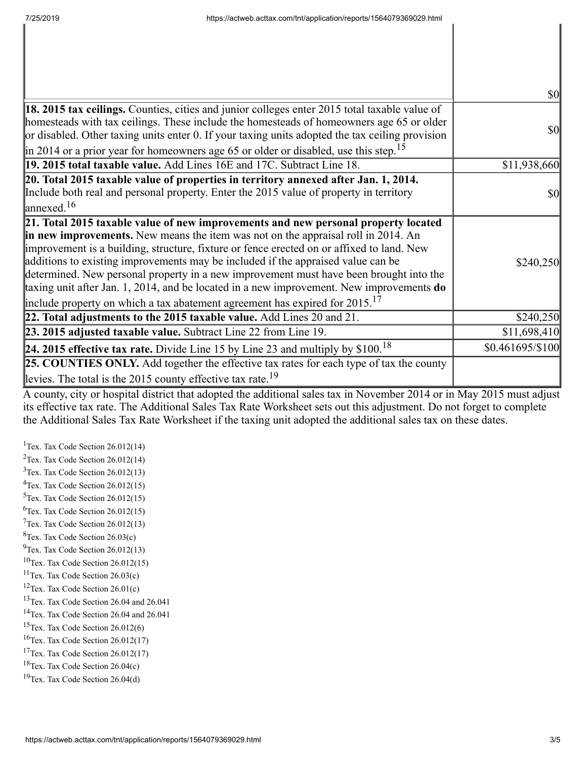|                                                                                                                                                                                                                                                                                                                                                                                                                                                                                                                                                                                                                                              | $\frac{1}{2}$     |
|----------------------------------------------------------------------------------------------------------------------------------------------------------------------------------------------------------------------------------------------------------------------------------------------------------------------------------------------------------------------------------------------------------------------------------------------------------------------------------------------------------------------------------------------------------------------------------------------------------------------------------------------|-------------------|
| 18. 2015 tax ceilings. Counties, cities and junior colleges enter 2015 total taxable value of<br>homesteads with tax ceilings. These include the homesteads of homeowners age 65 or older<br>or disabled. Other taxing units enter 0. If your taxing units adopted the tax ceiling provision<br>$\left  \text{in } 2014 \text{ or a prior year for home owners age 65 or older or disabled, use this step.} \right $                                                                                                                                                                                                                         | \$0               |
| 19. 2015 total taxable value. Add Lines 16E and 17C. Subtract Line 18.                                                                                                                                                                                                                                                                                                                                                                                                                                                                                                                                                                       | \$11,938,660      |
| 20. Total 2015 taxable value of properties in territory annexed after Jan. 1, 2014.<br>Include both real and personal property. Enter the 2015 value of property in territory<br>$\int$ annexed. <sup>16</sup>                                                                                                                                                                                                                                                                                                                                                                                                                               | $\frac{1}{2}$     |
| 21. Total 2015 taxable value of new improvements and new personal property located<br>in new improvements. New means the item was not on the appraisal roll in 2014. An<br>improvement is a building, structure, fixture or fence erected on or affixed to land. New<br>additions to existing improvements may be included if the appraised value can be<br>determined. New personal property in a new improvement must have been brought into the<br>taxing unit after Jan. 1, 2014, and be located in a new improvement. New improvements do<br>include property on which a tax abatement agreement has expired for $2015$ . <sup>17</sup> | \$240,250         |
| 22. Total adjustments to the 2015 taxable value. Add Lines 20 and 21.                                                                                                                                                                                                                                                                                                                                                                                                                                                                                                                                                                        | \$240,250         |
| 23. 2015 adjusted taxable value. Subtract Line 22 from Line 19.                                                                                                                                                                                                                                                                                                                                                                                                                                                                                                                                                                              | \$11,698,410      |
| 24. 2015 effective tax rate. Divide Line 15 by Line 23 and multiply by $$100.18$                                                                                                                                                                                                                                                                                                                                                                                                                                                                                                                                                             | $$0.461695/\$100$ |
| <b>25. COUNTIES ONLY.</b> Add together the effective tax rates for each type of tax the county<br>levies. The total is the 2015 county effective tax rate. <sup>19</sup>                                                                                                                                                                                                                                                                                                                                                                                                                                                                     |                   |

A county, city or hospital district that adopted the additional sales tax in November 2014 or in May 2015 must adjust its effective tax rate. The Additional Sales Tax Rate Worksheet sets out this adjustment. Do not forget to complete the Additional Sales Tax Rate Worksheet if the taxing unit adopted the additional sales tax on these dates.

<sup>1</sup>Tex. Tax Code Section  $26.012(14)$ <sup>2</sup>Tex. Tax Code Section  $26.012(14)$  $3$ Tex. Tax Code Section 26.012(13)  $4$ Tex. Tax Code Section 26.012(15)  $5$ Tex. Tax Code Section 26.012(15)  ${}^{6}$ Tex. Tax Code Section 26.012(15)  $7$ Tex. Tax Code Section 26.012(13)  ${}^{8}$ Tex. Tax Code Section 26.03(c)  $^{9}$ Tex. Tax Code Section 26.012(13)  $10$ Tex. Tax Code Section 26.012(15)  $11$ Tex. Tax Code Section 26.03(c) <sup>12</sup>Tex. Tax Code Section  $26.01(c)$ <sup>13</sup>Tex. Tax Code Section 26.04 and 26.041 <sup>14</sup>Tex. Tax Code Section 26.04 and 26.041  $15$ Tex. Tax Code Section 26.012(6)  $16$ Tex. Tax Code Section 26.012(17) <sup>17</sup>Tex. Tax Code Section  $26.012(17)$  $18$ Tex. Tax Code Section 26.04(c)  $19$ Tex. Tax Code Section 26.04(d)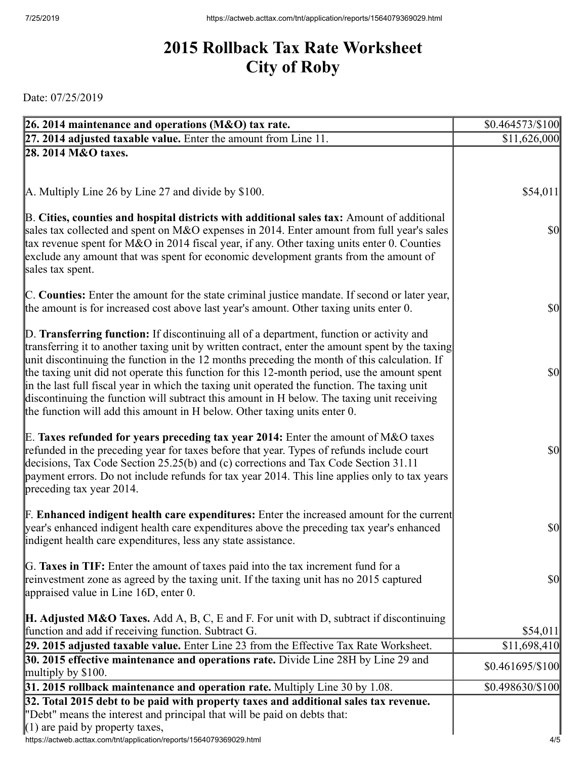## **2015 Rollback Tax Rate Worksheet City of Roby**

Date: 07/25/2019

| 26. 2014 maintenance and operations (M&O) tax rate.                                                                                                                                          | $$0.464573\%100$                    |
|----------------------------------------------------------------------------------------------------------------------------------------------------------------------------------------------|-------------------------------------|
| 27. 2014 adjusted taxable value. Enter the amount from Line 11.                                                                                                                              | \$11,626,000                        |
| 28. 2014 M&O taxes.                                                                                                                                                                          |                                     |
|                                                                                                                                                                                              |                                     |
|                                                                                                                                                                                              |                                     |
| A. Multiply Line 26 by Line 27 and divide by \$100.                                                                                                                                          | \$54,011                            |
| B. Cities, counties and hospital districts with additional sales tax: Amount of additional                                                                                                   |                                     |
| sales tax collected and spent on M&O expenses in 2014. Enter amount from full year's sales                                                                                                   | $\frac{1}{2}$                       |
| tax revenue spent for M&O in 2014 fiscal year, if any. Other taxing units enter 0. Counties                                                                                                  |                                     |
| exclude any amount that was spent for economic development grants from the amount of                                                                                                         |                                     |
| sales tax spent.                                                                                                                                                                             |                                     |
| C. Counties: Enter the amount for the state criminal justice mandate. If second or later year,                                                                                               |                                     |
| the amount is for increased cost above last year's amount. Other taxing units enter 0.                                                                                                       | $\frac{1}{2}$                       |
|                                                                                                                                                                                              |                                     |
| D. Transferring function: If discontinuing all of a department, function or activity and                                                                                                     |                                     |
| transferring it to another taxing unit by written contract, enter the amount spent by the taxing                                                                                             |                                     |
| unit discontinuing the function in the 12 months preceding the month of this calculation. If                                                                                                 |                                     |
| the taxing unit did not operate this function for this 12-month period, use the amount spent<br>in the last full fiscal year in which the taxing unit operated the function. The taxing unit | $\frac{1}{2}$                       |
| discontinuing the function will subtract this amount in H below. The taxing unit receiving                                                                                                   |                                     |
| the function will add this amount in H below. Other taxing units enter 0.                                                                                                                    |                                     |
|                                                                                                                                                                                              |                                     |
| E. Taxes refunded for years preceding tax year 2014: Enter the amount of M&O taxes                                                                                                           |                                     |
| refunded in the preceding year for taxes before that year. Types of refunds include court                                                                                                    | $\frac{1}{2}$                       |
| decisions, Tax Code Section 25.25(b) and (c) corrections and Tax Code Section 31.11<br>payment errors. Do not include refunds for tax year 2014. This line applies only to tax years         |                                     |
| preceding tax year 2014.                                                                                                                                                                     |                                     |
|                                                                                                                                                                                              |                                     |
| <b>F. Enhanced indigent health care expenditures:</b> Enter the increased amount for the current                                                                                             |                                     |
| year's enhanced indigent health care expenditures above the preceding tax year's enhanced                                                                                                    | $\vert \mathbf{S} \mathbf{0} \vert$ |
| indigent health care expenditures, less any state assistance.                                                                                                                                |                                     |
| G. Taxes in TIF: Enter the amount of taxes paid into the tax increment fund for a                                                                                                            |                                     |
| reinvestment zone as agreed by the taxing unit. If the taxing unit has no 2015 captured                                                                                                      | <b>\$0</b>                          |
| appraised value in Line $16D$ , enter 0.                                                                                                                                                     |                                     |
|                                                                                                                                                                                              |                                     |
| <b>H. Adjusted M&amp;O Taxes.</b> Add A, B, C, E and F. For unit with D, subtract if discontinuing                                                                                           |                                     |
| function and add if receiving function. Subtract G.<br>29. 2015 adjusted taxable value. Enter Line 23 from the Effective Tax Rate Worksheet.                                                 | \$54,011<br>\$11,698,410            |
| 30. 2015 effective maintenance and operations rate. Divide Line 28H by Line 29 and                                                                                                           |                                     |
| multiply by $$100$ .                                                                                                                                                                         | $$0.461695/\$100$                   |
| 31. 2015 rollback maintenance and operation rate. Multiply Line 30 by 1.08.                                                                                                                  | \$0.498630/\$100                    |
| 32. Total 2015 debt to be paid with property taxes and additional sales tax revenue.                                                                                                         |                                     |
| "Debt" means the interest and principal that will be paid on debts that:                                                                                                                     |                                     |
| $(1)$ are paid by property taxes,                                                                                                                                                            |                                     |
| https://actweb.acttax.com/tnt/application/reports/1564079369029.html                                                                                                                         | 4/5                                 |